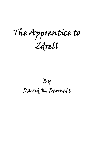**The Apprentice to Zdrell**

**By David K. Bennett**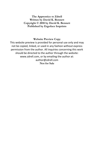**The Apprentice to Zdrell Written by David K. Bennett Copyright © 2018 by David K. Bennett Published by Ergoface Imprints**

#### **Website Preview Copy**

This website preview is provided for personal use only and may not be copied, linked, or used in any fashion without express permission from the author. All inquiries concerning this work should be directed to the author through the website: www.zdrell.com, or by emailing the author at: author@zdrell.com **Not for Sale**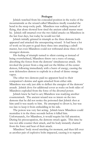#### **Prologue**

Jelnick watched from his concealed position in the rocks of the mountainside as the wizard called Mlandress tiredly rounded the bend in the steep rocky path. Mlandress was walking instead of flying, that alone showed how tired the ancient zdrell master must be. Jelnick still smarted over the two failed attacks on Mlandress in the last four days, but today he would not fail.

Jelnick initially grinned in triumph as the three demons lords appeared and attacked the unsuspecting wizard. It had been a lot of work on his part to goad these three into attacking a zdrell master, but even Mlandress could not withstand alone three of the strongest demons.

His feeling of triumph turned to silent cursing as instead of being overwhelmed, Mlandress threw out a wave of energy, absorbing the forces from the demons' simultaneous attack. He invoked the power from a ring and cut the lifeline of the center demon, following immediately with a burst of energy, causing the now defenseless demon to explode in a cloud of dense orange vapor.

The other two demons paid no apparent heed to their companion's demise and again attacked from either side. Mlandress was only just able to deflect the energies of the demons' assault. Jelnick dove for additional cover as rocks on both sides of Mlandress exploded from the force of the diverted power.

Jelnick knew he had to act; Mlandress was readying another counterattack. The ancient wizard was so intent on the two demons that he did not notice the poisoned dart Jelnick shot at him until it was nearly to him. He attempted to divert it, but was too late to keep it from embedding in his side.

The poison was very fast acting. Jelnick knew Mlandress could neutralize it in the three seconds before it killed him. Unfortunately, for Mlandress, it would require his full attention. During his preoccupation, the demons struck again. This time he was not able counter their attack, and his body instantly charred from the force and heat of their attack.

Mlandress' body stood smoking for moment, and then fell over as another pair of explosive bolts impacted, causing it to rupture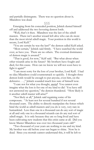and partially disintegrate. There was no question about it; Mlandress was dead.

#### § § §

Emerging from his concealed position, Jelnick dusted himself off and addressed the two hovering demon lords.

"Well, that's it then. Mlandress was the last of the zdrell masters. There isn't another wizard left alive who can do more than the most trivial zdrell magic. Your position in this world is secure, Lord Kelf."

"You are certain he was the last?" the demon called Kelf asked.

"Most certain," Jelnick said firmly. "I have searched the world over, as have you. There are no others. The eventual dominance of demon magic is assured."

"That is good, for now," Kelf said. "But what about when other wizards arise in the future? My brothers have fought and died, for this cause. How can we know we will not soon have to fight it again?"

"I am most sorry for the loss of your brother, Lord Kelf. I had no idea Mlandress could counterattack so quickly. I thought three demon lords would be enough to put anyone, even him, on the defensive . . .," Jelnick sounded much less sure of himself now.

"I care not for what you thought, *mortal*! You cannot even imagine what the loss is for one of my kind to die! You have still not answered my question," the demon thundered. "How likely is it another zdrell master will arise?"

"Not likely at all," Jelnick said regaining some of his composure. "At least not for several hundred if not several thousand years. The ability to directly manipulate the forces which bind the world as zdrell masters and you do is very, very rare in humankind. Less than one in a thousand can do any sort of magic at all and only one in a thousand wizards can do any real sort of zdrell magic. It is only because they are so long lived and have been cultivating new students that this crisis came at all. Did you know Master Mlandress was over two thousand years old?"

"Two thousand of your years are nothing to me and my kind. My brother was old before your sun began to shine. Now he is dead. Since you mortals cannot understand this, it will be left to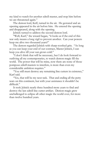my kind to watch for another zdrell master, and stop him before we are threatened again."

The demon lord, Kelf, turned in the air. He gestured and an opening appeared in the air before him. He entered the opening and disappeared, along with the opening.

Jelnick turned to address the second demon lord.

"Well, Karf," the wizard began, "it looks as if the end of this war only means a long vigil to prevent another. Can your powers keep me alive two thousand years?"

The demon regarded Jelnick with sharp-toothed grin. "As long as you can keep your end of our contract, Master Jelnick, I can keep you alive till your sun grows cold."

"I don't think that will be necessary, but I do look forward to outliving all my contemporaries, to watch demon magic fill the world. The power that will be mine, now there are none of those pompous zdrell masters to interfere, is more than even my considerable ambition requires."

"You still must destroy any remaining line cutters in existence," Karf said.

"Yes, that will be my next task. That and ending all the petty wars on this continent, but with your assistance it shouldn't be difficult."

It took Jelnick nearly three hundred more years to find and destroy the last zdrell line cutter artifact. Demon magic grew unchallenged to eclipse all other magic the world over, for more than twelve hundred years.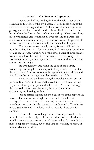## **Chapter 1 - The Reluctant Apprentice**

Jashoc dunked his head again into the cold water of the fountain on the edge of the city bazaar. He still could not get the stink out of his stringy red hair. At least now it was not quite so greasy, and it helped cool the midday heat. He hated it when he had to clean the flues at the confectioner's shop. They were always filled with rancid grease that got all over his face and arms. He could wash those easily enough, but it never seemed to get out of his hair, and the smell, though rank, only made him hungrier.

The day was unseasonably warm, for early fall, and the head baker had been in a foul mood and had not even allowed him to take stale scraps. Usually, he or the other bakers allowed Jashoc to eat as much of the castoffs as he wanted, but not today. His stomach grumbled, reminding him he had eaten nothing since his scanty meal last night.

He wandered wearily along the edge of the bazaar, wondering how long he could stay out of sight before his master, the slave trader Murdoc, or one of his apprentices, found him and put him on the next assignment that needed a small boy.

As he passed the brass shop, the merchant's son, one of Jashoc's few friends in the market, gave him a half eaten, wormy, apple out of sympathy. Jashoc thanked him. As he turned to go, the boy told Jashoc that Gareselin, the slave trader's head apprentice, was looking for him.

Jashoc started jogging for the back alleys at the edge of the bazaar. The sun was now high, and the market bustled with activity. Jashoc could smell the heavenly scent of kabok cooking two shops over, causing his stomach to rumble again. The air was only slightly clouded with dust, not like the thick haze of mid summer.

If Gareselin was looking for him this early, it could only mean he had another ugly job he wanted done today. Murdoc was usually content to get one job out of Jashoc a day. It meant Jashoc missed supper most days, but he felt that not working an extra six hours a day was worth it.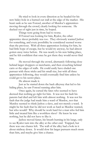He tried to look in every direction as he headed for his new hidey-hole in a burned out stall at the edge of the market. His heart sank as he saw Foresel, another of Murdoc's apprentices moving through the crowd, clearly looking for someone. He ducked out of sight just in time, he hoped.

Things were going from bad to worse.

If Foresel was looking for him, Ryalor, the other apprentice slaver probably was too. They obviously wanted Jashoc for something, and every possibility he considered seemed worse than the previous. With all three apprentices looking for him, he had little hope of escape, but he would try anyway, he had almost gotten away twice before. He was nearly to his new hiding place, and he felt confident that once he got there they would never find him.

He moved through the crowd, alternately following close behind larger shoppers or merchants, and then crouching behind carts or the edges of stalls. He could easily have eluded one pursuer with these tricks and his small size, but with all three apprentices following, they would eventually find him unless he could get to his secret place.

He almost made it.

Just as he started down the back alleyway that led to his hiding place, he saw Foresel running after him.

Once again, he cursed the fates who seemed to have decreed that nothing go right for him. It was not his fault his parents had died and left him with almost nothing. It was not his fault that the judge had made him a ward of Murdoc, nor that Murdoc seemed to think Jashoc a slave, and not merely a ward. It might be his fault that he did not work as hard as Murdoc wanted, but who would? Why should he work hard for a man who fed him little and treated him like a worthless slave? He knew he was nothing, but he did not have to like it.

Jashoc moved faster, his breath burning in his lungs, only to see Ryalor turn into the alley at the other end. Trapped, but there was one chance left. The wall of the alley had a hole in it about midway down. It would slow his larger pursuers much more than him, and maybe give him a chance.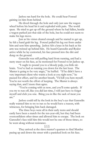Jashoc ran hard for the hole. He could hear Foresel gaining on him from behind.

He dived through the hole and only just saw the wagon wheel before his head hit it and exploded with pain. The world spun. He tried to get up off the ground where he had fallen, beside a wagon parked just that side of the hole, but he could not seem to make his legs move.

Just as his vision cleared enough and he started to get up, he felt a hand grab his leg. Foresel pulled his leg out from under him and sent him sprawling. Jashoc felt a knee in his back as his arm was twisted up behind him. He heard Gareselin and Ryalor arrive while he lay contorted, his face pressed into the dirt and dung on the ground.

Gareselin was still puffing hard from running, and had a nasty sneer on his face, as he motioned for Foresel to let Jashoc up.

"I ought to pound you to a bloody pulp, you little nit brain. You've had us running you down for the last hour. The Master is going to be very angry," he huffed. "If he didn't have a very important client who wants a look at you right now," he paused for effect, and for another breath, "I'd kill you here myself. You're not worth the effort of keeping. The Master is always saying that, and I more than agree.

"You're coming with us now, and you'll come quietly. If you try to run off, like you did last time, I will just have to forget myself and club you one. Bring you in like the sack of meat you are."

Jashoc could tell by the look in the boy's eye that Gareselin really wanted him to try to run so he would have a reason, with witnesses, for bringing him back damaged.

The three boys were all in their early teens and should easily have been a match for the ten-year-old, but they had been overconfident other times and allowed him to escape. The look on Gareselin's face told him this would not be one of those times, so he went along without resistance.

# § § §

They arrived at the slave master's quarters to find Murdoc pacing up and down the street with a panicked look on his face.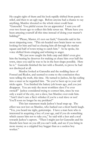He caught sight of them and his look rapidly shifted from panic to relief, and then to an ugly rage. Before anyone had a chance to say anything, Murdoc shouted so the whole street could hear. "Gareselin! You pitiful excuse for an apprentice! I sent you off over two hours ago to collect this little sewer rat. Where have you been amusing yourself all this time instead of doing your master's bidding?"

"Please, Master, it's not our fault," Gareselin said in his most simpering tone. "This nit-headed snot brain knew we were looking for him and had us chasing him all through the market square and half of town trying to catch him." As he spoke, his voice shifted from cringing and whining to anger.

"We just now caught the little carp and didn't even give him the beating he deserves for making us chase him over half the town, since you said he was to be in the best shape possible. Here he is." Gareselin finished the last with a flourish, to prove he had not disobeyed at all.

Murdoc looked at Gareselin and the nodding faces of Foresel and Ryalor, and seemed to come to the conclusion they were telling the truth, this time. He turned to Jashoc, his lip curling into a sneer as he regarded him. "So you've been up to your old tricks again. You finished the bakery job hours ago, and you just disappear. You are truly the most worthless slave I've ever owned!" Jashoc considered trying to correct him, since he was only a ward of the city, not a slave, but Murdoc over-rode him. "And I don't care a flea's whisker if you're a real slave or not! You'll soon no longer be my problem!"

This last statement made Jashoc's head snap up. The effect was not lost on Murdoc, who barked out a short harsh laugh. "Yes, you heard me right, guttersnipe. I have a man here who is interested in acquiring a boy of your age, and if you do something which causes him not to take you," he said with a leer and a nod towards Jashoc's captors. "Then I might just let Gareselin and his friends here beat on you till you can't walk, and see if you bring in more money as a crippled boy beggar than as a useless boy worker."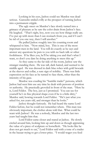Looking in his eyes, Jashoc could see Murdoc was dead serious. Gareselin smiled evilly at the prospect of turning Jashoc into a permanent cripple.

The ugly sneer on Murdoc's face slowly turned into a grimace of pleasure as he saw the color drain from Jashoc's face. He laughed. "That's right, boy, now you see how things really are. I've put up with more than I can stomach from you, and if I can't be rid of you one way, then I will another."

He pulled Jashoc roughly into his counting room and whispered to him. "Now mind, boy. This is one of the most important men in the land. You will do exactly as he says and answer any questions he puts to you with no back talk or other foolishness. If he likes you, he'll be taking you and that's what I want, so don't you dare be doing anything to mess this up."

As they came to the far side of the room, Jashoc saw the stranger standing there. He was tall, dark haired, and seemed to be middle aged. He was dressed in dark blue robes with gold brocade at the sleeves and collar, a sure sign of nobility. There was little expression on his face as he turned to face them, other than the intensity of his gaze.

Murdoc was exuding his "humble trader" persona, which Jashoc had seen him use any time he dealt with persons of position or authority. He practically groveled in front of the man. "Here he is, Lord Feldor. The boy, just as I promised. You can see for yourself he's in fine physical shape even if he is a little dirty," Murdoc said, bowing towards Lord Feldor. "He's just what you asked for, ten years old, and stronger than he looks."

Jashoc thought furiously. He had heard the name Lord Feldor before, but he could not remember where. This man was obviously important, the clothes alone told that. What could he want with Jashoc? He was a nobody, Murdoc and the last two years had taught him that.

Lord Feldor came closer and stared at Jashoc. He slowly circled around him, looking him up and down as though appraising the value of a piece of sculpture or horseflesh. "He looks like he does not get much to eat," Lord Feldor said with a tone of a trader in the bazaar trying to get a lower price. "I would wager you feed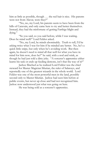him as little as possible, though . . . the red hair is nice. His parents were not from Alavar, were they?"

"No, no, my Lord, his parents seem to have been from the hills of Caravain, and only came here to try and better themselves. Instead, they had the misfortune of getting Farthigs blight and dying."

"So you said, so you said before, while I was waiting. Does he mind well?" Lord Feldor asked.

"No, my Lord, he minds abominably. Truth to tell, I'd be asking twice what I was for him if he minded any better. No, he's a quick little snipe, but only when he's avoiding work. But then again, he doesn't need to mind all that well for what you have in mind for him now, does he?" he said, with a nod and wink, as though he had just told a dirty joke. "A sorcerer's apprentice either learns his task or ends up feeding demons, isn't that the way of it?"

Jashoc flinched as he realized Lord Feldor was the chief steward for Master Magician Silurian, the ruler of Salaways, and reportedly one of the greatest wizards in the whole world. Lord Feldor was one of the most powerful men in the land, possibly second only to Master Silurian. Jashoc had seen him before at public events, but never up close and had not recognized him. Jashoc now understood just what was going on here.

He was being sold as a sorcerer's apprentice.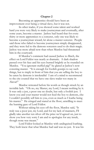## **Chapter 2**

Becoming an apprentice should have been an improvement over being a virtual slave, but it was not.

In other trades, if you showed some talent and worked hard you were very likely to make journeyman and eventually, after some years, become a master. Jashoc had heard that for every thirty or more apprentices to a sorcerer, only one was likely to become a journeyman wizard, let alone a master sorcerer. People said those who failed to become journeymen simply disappeared, and they were fed to the demons sorcerers used to do their magic. Jashoc was more afraid now than when Murdoc had threatened him in the courtyard.

If Murdoc's comment had caused Jashoc to flinch, the effect on Lord Feldor was nearly as dramatic. A dark shadow passed over his face and his eyes burned brightly as he rounded on Murdoc. "You ignorant stuffed pig!" he glared at Jashoc's now cowering master. "It is enough for foolish gossips to say such things, but to imply in front of him that you are selling the boy to be eaten by demons is intolerable! I am of a mind to recommend to the city council that we have one slave trader too many in Alavar!"

Murdoc retreated before his words as though struck by an invisible lash. "Oh no, my Master, my Lord, I meant nothing by it. It was only a jest, a poor one no doubt, but only a foolish jest. I know you and your master would not feed the boy to demons, else I couldn't possibly sell him to you, even as much as I loathe being his master." He cringed and stared at the floor, unwilling to meet the burning gaze of Lord Feldor.

Without taking his eyes off the floor, Murdoc said, "It truly was a poor jest, my Lord, and for my lack of manners, I'll gladly take another ten silver off the price we'd agreed on, just to show you how very sorry I am and to apologize for any insult, though none was meant."

Lord Feldor looked at Murdoc with undisguised loathing. They both knew that what Murdoc had said was no jest. It was his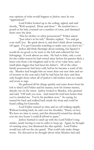true opinion of what would happen to Jashoc once he was "apprenticed."

Lord Feldor looked up to the ceiling, sighed, and said shortly, "Well accepted. Done and done." He reached into a pouch at his belt, counted out a number of coins, and slammed them onto the desk.

"Has he clothes or other possessions?" Feldor asked.

"Just what's in his loft," Murdoc replied. "Go and get your stuff, boy. Be quick about it, and don't think about running off again. I've got Gareselin watching to make sure you don't try."

Jashoc did think fleetingly about running, but figured it would do no good, so he went to the loft and collected his few belongings. It took almost no time. He had so little, only a coat for the colder season he had owned since before his parents died, a brass coin from a far kingdom said to be of no value here, and a small plain dagger that had been his father's. All of the other family possessions had been sold, before he became a ward of the city. Murdoc had bought him no more than one new shirt and set of trousers in the year and a half he had been his slave and then only bought those when all of Jashoc's old clothes were too small, and worn to rags.

He gathered all his things quickly and came down from his loft to find Lord Feldor and his master, now his former master, already out on the street. Jashoc looked to Murdoc, who grunted and said, "Off with you now. And mind the lord here better than you've minded me. You're his problem now." So saying, he turned his back and walked back inside the shop and could be heard yelling for Gareselin.

Lord Feldor wasted no time and set off walking rapidly. Without looking back, he said over his shoulder, "Hurry on boy. We have no time to waste, and this distasteful errand has already cost me two hours I could ill afford to spare."

Jashoc hurried to catch up with the Lord Feldor's long strides, nearly having to run in order to keep up. Again, he thought of running away, but dismissed the idea quickly. Lord Feldor would just call out the city guard. That could only make things worse. He shivered as he thought about what Murdoc had said.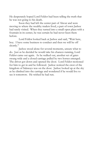He desperately hoped Lord Feldor had been telling the truth that he was not going to his death.

Soon they had left the center part of Alavar and were moving to where the wealthy traders lived, a part of town Jashoc had rarely visited. When they turned into a small open plaza with a fountain in its center, he was certain he had never been there before.

Lord Feldor looked back at Jashoc and said, "Wait here, boy. I have some business to conduct and then we will be off shortly."

Jashoc stood alone for several moments, unsure what to do. Just as he decided he would take his chances running, Lord Feldor came out again. As he walked out, another set of gates swung wide and a closed carriage pulled by two horses emerged. The driver got down and opened the door. Lord Feldor motioned for him to get in and he followed. Jashoc noticed the crest of the kingdom of Salaways was on the door. Jashoc looked up at the sky as he climbed into the carriage and wondered if he would live to see it tomorrow. He wished he had run.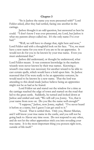## **Chapter 3**

"So is Jashoc the name you were presented with?" Lord Feldor asked, after they had settled, facing one another in the carriage.

Jashoc thought it an odd question, but answered as best he could. "I don't know I was ever presented, my Lord, but Jashoc is what my parents always called me. It's the only name I've ever had."

"Well, we will have to change that, right here and now," Lord Feldor said with a thoughtful look on his face. "Yes, we must have a new name for you now if you are to be an apprentice. It would not do for you to be known by your true name. Even you must understand that."

Jashoc did understand, or thought he understood, what Lord Feldor meant. It was common knowledge in the markets wizards were never known by their true names. Knowing a wizard's true name was necessary for another wizard to be able to cast certain spells, which would have a hold upon him. So Jashoc reasoned that if he were really to be an apprentice sorcerer, he would need to be known by a new name. That the lord was attending to this detail made Jashoc believe being an apprentice might not be as bad as he feared.

Lord Feldor sat and stared out the window for a time as the carriage reached the edge of town and started on the road that led to the great castle. Suddenly, he turned and looked down at Jashoc and smiled and said, "We will call you Jonny. Yes, that is your name from now on. Do you like the name well enough?"

"I suppose," Jashoc, now Jonny, replied. "I've never heard it before as a name, but I guess I can get used to it."

"Good. That is settled then. Only you, Master Silurian, and I will know your true name in the castle, and you will not be going back to Alavar any time soon. Do not respond to any other, and do not let the other apprentices trick you into revealing your true name. It is the most important thing you possess right now, outside of life itself."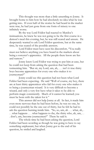This thought was more than a little unsettling to Jonny. It brought home to him how he had absolutely no idea what he was getting into. If even half of the stories he had heard in the market were true, he had just gone from one form of misery to one infinitely worse.

By the way Lord Feldor had reacted to Murdoc's insinuations, he knew he was not going to be the first course in a demon's meal this evening, but, he was still scared and unsure. He desperately wanted to ask Lord Feldor questions, but at the same time, he was scared of the possible answers.

Lord Feldor must have seen his discomfort, "You really must not believe anything you have heard in the markets about being a sorcerer's apprentice. All the people there know are lies and rumors."

Jonny knew Lord Feldor was trying to put him at ease, but he could not keep from asking the question that had been tormenting him. "But sir, my Lord, um, ah, . . . isn't it true thirty boys become apprentices for every one who makes it to journeyman?"

Jonny could see this question had not been what Lord Feldor had been expecting. He said "Well of course, my boy, there are at least thirty apprentices who fail for every one who makes it to being a journeyman wizard. It is very difficult to become a wizard, and only a very few have what it takes to be able to perform magic consistently. Much of it cannot be learned; you must be born with the talent for it."

This answer did not help Jonny at all. In fact, it made him even more nervous than he had been before, he was no one, he could not possibly be the one out of thirty, but he felt he had to ask the question burning inside him. "So, so, um, ah . . . what, ah, . . . what happens . . . what happens to the, the thirty who, ah, um, . . . don't, um, become journeymen?" There he said it.

The whole time he had been asking the question, Lord Feldor had been scowling as though he was going to have to say something unpleasant, but when Jonny got to the end of his question, he smiled and laughed.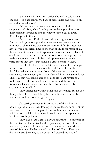"So that is what you are worried about?" he said with a chuckle. "You are still worried about being killed and offered on some altar to a demon?"

"When you say it that way it does sound a little simpleminded. But, what does happen to the apprentices who don't make it? Everyone says they never come back to town. What happens to them?"

"Well," Lord Feldor began, "they are right about that. Any of the boys who apprentice here are almost never sent back into town. Their failure would mark them for life. So, after they have served a sufficient time to show no aptitude for magic at all, they are sent to other cities to apprentice in other trades. Many of our former apprentices have gone on to become quite prosperous tradesmen, traders, and scholars. All apprentices can read and write before they leave, that alone is a great benefit to them."

Lord Feldor had looked a little uncertain, as he had begun his response, but looked increasingly confident as he finished. "In fact," he said with enthusiasm, "one of the reasons sorcerer's apprentices start so young is so that if they fail to show aptitude for The Arts, they will still be able to be sent off to apprentice at a useful age. Usually, we send them off at around thirteen or fourteen, which is only a year or so later than they would be apprenticed normally."

Jonny sensed he was not being told everything, but he also thought Lord Feldor was telling the truth. It made him feel better, but he was still far from being at ease.

§ § § The carriage turned as it left the flat of the valley and headed up the winding road leading to the castle, and Jonny got his first close look at it. In the past, he had only seen it as a clump of buildings on the hill. Now he could see it clearly and appreciate just how very large it was.

Jonny had heard Castle Salaways had protected this part of the country for at least five hundred years, maybe more. For the last ninety years it had been the home of the master wizard and ruler of Salaways. He had united the cities of Alavar, Kenton to the north, and Sharafleg to the south and created the land of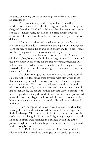Salaways by driving off the competing armies from the three adjacent lands.

The three cities lay in the long valley of Sharafleg, bordered on the south by Lake Sharafleg, and on the north by the Crags of Glondor. The land of Salaways had known mostly peace for the last ninety years, but had been a prize fought over for centuries. The castle was heavily fortified, and well positioned for defense.<br>Salaways' location, and its relative peace since Master

Silurian united it, made it a prosperous trading nation. Though far from the sea, its fertile fields and open society made it a crossroads for the trading routes of the continent of Skryla.

The road wound back and forth up the hill. As they climbed higher, Jonny saw both the castle grow ahead of them, and the city of Alavar, his home for the last two years, spreading out below them. He had never seen the city from this height and was amazed at how big it really was, though the buildings were looking smaller and smaller.

The closer they got, the more ominous the castle seemed. Its huge walls of dark stone were covered with gray-green moss that made it appear as if the whole structure had somehow grown out of the ground. There were six tall towers in the outer walls with arrow slits evenly spaced up them and the tops of all the walls had crenellations, the square toothed top that allowed defenders to take refuge while raining down death on their attackers. Jonny had heard the castle was big enough for half the town of Alavar to be housed there in case of a serious attack. He had never believed it, until now.

From the top of the tallest tower flew a single white flag bearing the same seal that adorned the door of the carriage, the Seal of Salaways. The seal was a circle of red. In the center of the circle was a smaller gold circle, a book, lightning bolt, and a sword, all done in black, were arranged in a triangle within the circle. Jonny thought it looked like a large demonic eye as the flag waved in the strong breeze.

Lord Feldor had been content to allow them to ride in silence until they entered the outer gate of the castle. Jonny had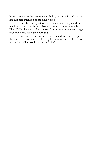been so intent on the panorama unfolding as they climbed that he had not paid attention to the time it took.

It had been early afternoon when he was caught and this whole adventure had begun. Now he noticed it was getting late. The hillside already blocked the sun from the castle as the carriage took them into the main courtyard.

Jonny was struck by just how dark and foreboding a place this was. His fear, which had nearly left him for the last hour, now redoubled. What would become of him?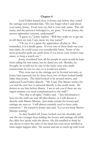## **Chapter 4**

Lord Feldor leaned close to Jonny just before they exited the carriage and reminded him, "Do not forget what I said about your name, Jonny. From now on, that is your only name. The old name, and the person it belonged to, are gone. You are Jonny, the newest apprentice sorcerer, understand?"

"I guess so," Jonny replied. "Will they really try to get me to tell them my real, I um, mean my true name?"

"Oh yes, it is a game the apprentices all play at. But remember, it is a deadly game. If even one of them finds out your true name, he could cause you considerable harm. Some of the most powerful spells are easily done if you know your victim's true name, so keep a watch out."

Jonny wondered how all the people in town would be kept from telling his true name, but he dared not ask. Besides, he thought, he would not be one of the lucky ones who made journeyman; he was no one, so it would not matter.

They were met at the carriage not by liveried servants, as Jonny had expected, but by three boys, two of them looked hardly older than Jonny. The third looked to be around twelve, and addressed Lord Feldor directly. "My Lord, The Master wishes for you and the new boy to proceed directly to the north study. He desires to see him before dinner. I am to ask you if there are any urgent matters you need communicated to the staff."

"No, that is all right," Feldor said. "Any information I have for the staff can wait till after dinner, or I will discuss it directly with Master Silurian. Just make certain the horses and carriage are seen to. I will almost certainly need to leave early tomorrow." He turned to Jonny and said, "Let us not keep Master Silurian waiting."

As they headed off, Jonny looked over his shoulder and saw the two younger boys leading the horses and carriage off while the older boy spoke with the driver. He felt terrified to think he was about to meet the ruler of the land, but even more terrified at what might happen after. He turned and ran to catch up with Lord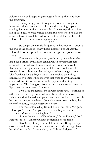Feldor, who was disappearing through a door up the stairs from the courtyard.

Just as Jonny passed through the door, he thought he heard something that sounded like a child screaming in pain coming faintly from the opposite side of the courtyard. A shiver ran up his back, how he wished he had run away when he had the chance. Now, instead, he had to run just to catch up with Lord Feldor. He felt as if he was going to vomit.

§ § § He caught up with Feldor just as he knocked on a door at the end of the corridor. Jonny heard nothing, but apparently, Feldor did, for he opened the door and stepped in. Jonny followed slowly.

They entered a large room, easily as big as the home he had been born in, with a high ceiling, which nevertheless felt crowded. The walls on three sides of the room had bookshelves that reached nearly to the ceiling, all filled with books, small wooden boxes, gleaming silver orbs, and other strange objects. The fourth wall had a large window that reached the ceiling, flanked by two smaller bookshelves that were, if anything, more crammed than the others with books, papers and writing implements. The faint glow from the nearly dark sky cast an eerie light over the unlit parts of the room.

Two large candelabras stood with squat candles burning to either side of the large desk that sat in front of the window. Behind the desk littered with papers and large books, one of which he was studying, sat the legend Jonny had never seen before, the ruler of Salaways, Master Magician Silurian.

The Master looked up from the book and said, "Ah good, Feldor, you're here. And you have the new boy with you. Excellent. What are we calling him?"

"I have decided to call him Jonny, Master Silurian," Lord Feldor replied. "Unless you have something else in mind."

"No, Jonny, Jonny, that will do just fine. Bring him up closer where I can look at him better and see if the feeling I have had the last couple of days is right, or if it is just indigestion."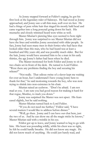As Jonny stepped forward at Feldor's urging, he got his first look at the legendary ruler of Salaways. He had stood as Jonny approached, and Jonny saw a tall thin man, well over six feet. He had a fringe of pure white hair that ringed his mostly bald head and came together into a long ponytail going down his back. His mustache and closely trimmed beard were white as well.

Master Silurian's piercing blue eyes seemed to bore right through him. Jonny was surprised to see Master Silurian did not have the lines and wrinkles Jonny associated with older people. In fact, Jonny had seen many men in their forties who had faces that looked older than this man, who he had heard was at least a hundred and fifty years old, and was possibly much older. But for the hair, Jonny would have assumed him to be a man in his early thirties, the age Jonny's father had been when he died.

The Master motioned for both Feldor and Jonny to sit in two chairs set in front of the desk. He turned to Lord Feldor. "Were there any problems finding the boy and securing his release?"

"Not really. That odious swine of a slaver kept me waiting for over an hour, but I understand I have young Jonny here to thank for that," he said motioning towards the boy, who was now trying to shrink into non-existence in his chair.

Silurian raised an eyebrow. "Don't be afraid. I am not mad at you. I am sure you had good reason for making it hard for that rogue, Murdoc, to track you down."

Jonny was surprised the Master was not upset. His fears eased slightly, but he said nothing.

Master Silurian turned back to Lord Feldor.

"If you do not need me further," Feldor said, "I have several matters I would like to address before dinner."

"Well, go then. Jonny and I can have our chat here, just the two of us. And he can show me all the magic tricks he knows," Master Silurian said with a twinkle in his eye.

Feldor got up to leave, and Jonny wanted to beg to go with him. His heart was pounding wildly, while his chest was so tight, he felt he could hardly breathe. He did not know any magic. He did not know much of anything. He could just barely read, and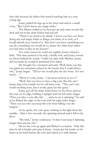that only because his father had started teaching him at a very young age.

Jonny pulled his legs up to his chest and said in a small voice, "But I don't know any magic tricks."

The Master smiled as he then got up and came around the desk and sat in the chair Feldor had just left.

"There is no need to be afraid. I know you have not been doing any real magic tricks or things you think of as such, or I would already have heard of it. But don't you have something you can do, something you would do to amuse the other boys when you had time to play in the bazaar?"

For some reason he could not explain, Jonny relaxed a little. This man seemed to be truly a kindly sort, and Jonny sensed no threat behind his words. Unlike his time with Murdoc, Jonny did not think he would be punished if he failed.

He thought for a moment and said, "Well, there was this one game we sometimes played in the bazaar that I could always win," Jonny began. "Till no one would play me any more. It's not much . . ."

"Show it to me, Jonny. I am most anxious to see it."

"Well, first you have to have a big coin, like this one." Jonny dug in his bundle for his old brass coin. "This one's not worth anything here, but it works great for this game."

Jonny got off his chair, knelt down on the floor, and set the coin on its edge, holding it upright with his left index finger. "First you take a coin, like this . . ., and you set it spinning," he said as he flicked the edge of the coin with his right index finger. "Then you see who can keep the coin from falling over the longest."

As he spoke, the coin spun, winking in the light from the candles. After a few seconds, the spinning slowed and it fell to the floor.

"My trick," Jonny continued, "is that I can keep it spinning longer than anyone else."

He set the coin up again and flicked it as before. Only this time he hit it harder and spun it faster. Jonny put his hands on his knees as he knelt before the coin and stared at it with intense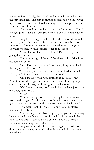concentration. Initially, the coin slowed as it had before, but then the spin stabilized. The coin continued to spin, and it neither sped up nor slowed down, but stayed spinning in the same place, at the same rate, for a long time.

After several minutes had passed, the Master said, "That is enough, Jonny. That is a very good trick. You can let it fall down now"

Jonny let out a sigh of relief. He had not moved a muscle since he placed his hands on his knees, and there were beads of sweat on his forehead. As soon as he relaxed, the coin began to slow and wobble. Within seconds, it fell to the floor.

"Wow, that was hard. I don't think I've ever kept one going that long before."

"That was very good, Jonny," the Master said. "May I see the coin you used?"

"Sure. Everyone says it isn't worth anything here. That's the only reason I've got it."

The master picked up the coin and examined it carefully. "Can you do it with other coins, or only this one?"

"Uh, I can do it with just about any coin," said Jonny. "But it's easier the bigger and heavier the coin is. I did a gold piece once. It was really easy, but I only got to do that once."

"Well Jonny, you may not know it, but you have just made me a very happy man."

"Why?"

"You have just proven to me that my feelings were right. You can do magic. And if you can do this with no training, I have great hopes for what you can do once you have received some."

"You mean I just did magic?" Jonny stared at Master Silurian with disbelief.

"Yes you did, Jonny. Not only that, but you did it in a way I never would have thought to do. I could not have done it the way you did, until I saw you do it just now. You have already shown me something new. I thank you."

Jonny was stunned. He had done magic. He had also done something the greatest wizard in the land said he could not have done.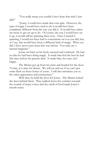"You really mean you couldn't have done that trick I just did?"

"Jonny, I could have made that coin spin. However, the type of magic I would have used to do it would have been completely different from the way you did it. It would have taken me more to get set up to do. Of course, the way I would have set it up, it would still be spinning there now. Once I started it spinning, I would not have had to concentrate on it as you did, but, as I say, that would have been a different kind of magic. What you did, I have never seen done that way before. You truly are a natural magician."

Jonny sat back on his heels, amazed and confused. He had no idea he had been doing magic. It made him feel the best he had felt since before his parents died. It made him, for once, feel happy.

The Master got up from his chair and headed for the door. "Come, it is time for dinner. We will eat and see if we can't put some flesh on those bones of yours. I will also introduce you to the other apprentices and journeymen."

With that, he held the door for Jonny. The Master locked the door behind them. They walked down the corridor towards the sounds of many voices and the smell of food made Jonny's mouth water.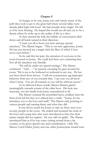## **Chapter 5**

As hungry as he was, Jonny was only barely aware of the path they took to get to the great hall where several tables were already piled high with food. He had actually done magic! He felt as if he were floating. He hoped this would not all turn out to be a dream where he woke up to the reality of life as a slave.

As they entered the hall, the babble of conversation died down and all heads turned in their direction.

"I want you all to look over here and pay special attention," The Master began. "This is our new apprentice, Jonny. He has just showed me a magic trick the likes of which I have never seen before."

As he said this last part, the attention of everyone in the room focused on Jonny. He could feel their eyes examining him. Not all the attention was friendly.

"He will be under my special tutelage," The Master continued. "And . . ." he paused, sweeping his gaze around the room, "He is not to be bothered or molested in any way. He has just been freed from slavery. I will not countenance *any* improper behavior from any of you towards him. I am sure you all know what I mean. You are all warned, so you will be without excuse."

As he delivered these words, Master Silurian glared meaningfully towards certain of the older boys. His look was fearsome, not the kindly look Jonny remembered at all.

The Master scanned the assembled faces, nodded, then the fierce look left his face as it relaxed into a smile. "Jonny, let me introduce you to the boys and staff," The Master said, pointing to various people and naming them, and what they did.

It was all too much for Jonny to take in; there were over seventy people in the room. He smiled and returned the nods of the boys and young men who were introduced to him, but their names simply did not register. He was still too giddy. The Master introduced him as if he was some visiting wizard from a far country, to be given special care and consideration. Only The Master, Lord Feldor, Jonny and one other Journeyman wizard were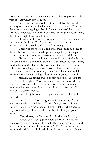seated at the head table. There were three other long trestle tables with at least twenty boys at each.

Several of the boys looked at him with barely concealed hostility and resentment. He had seen the look before. Many of these boys were *not* going to be his friends. Some of them might already be enemies. If he were not already feeling so disconnected, their looks might have scared him.

He knew in the back of his mind that this would not all be easy, but he also knew The Master had extended his special protection to him. He hoped it would be enough.

There was more food at this meal than Jonny had seen in the last two years: meats, breads, potatoes, apples, pastries, pies. He was sitting next to his new master, being offered all he wanted.

He ate so much he thought he would burst. Twice Master Silurian had to caution him to slow down the speed he was stuffing food in his mouth. The last two years had taught him to eat fast, before someone bigger came and took the food he had. In the end, when he could eat no more, he sat back. He was so full, he was not sure whether it felt good, or if he was going to be sick.

Smiling, the master turned to him and said, "So, you can be filled." He laughed. "For a moment I was unsure of whether you would ever stop. I have seen boys twice your size not able to eat as much as you have. I just hope this is only because of how little you've eaten recently."

Jonny happily nodded his agreement and blinked and yawned.

"Ah, I see the food has got you feeling sleepy," Master Silurian chuckled. "Well then, it's best if we get you a place to sleep." He looked over to one of the other tables where several boys were talking. "Roald, is there a place for Jonny in your room?"

"Yes, Master," replied the tall, thin shyly smiling boy.

"Good, show young Jonny here the room and the privy while you're at it so he can get to bed. He has had a long day, and he will need his strength for tomorrow." The Master turned to Jonny and said, "Go with Roald. He will show you where things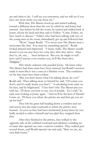are and what to do. I will see you tomorrow, and we will see if you have any more tricks you can show me."

With that, The Master stood up and started walking toward a different door than the one by which he and Jonny had entered. Just before he left the room, he turned and smiled back at Jonny, shook his head and then said to Feldor, "Come, Feldor, we have much to discuss." Feldor, who had been talking with two of the young men in the room, immediately got up and followed him.

"Wow," began Roald. "I've never seen The Master treat a newcomer like that. You must be something special." Roald looked amazed and impressed. "I mean, really, The Master usually doesn't even see new boys for a few days after they arrive. After they've, uh, um, . . . been broken in. But you, he might as well have said if anyone even touches you, he'll flay them alive. *Prodigious*."

This whole outburst only puzzled Jonny. He knew what The Master had done must have been unusual, but Roald's reaction made it seem like it was a once in a lifetime event. The confusion on his face must have been evident.

"But you don't know what I'm talking about, do you?" Roald said. Then talking more to himself he said, "Of course you don't, and it's really better you don't." A calculating look came on his face, and he brightened. "I bet that's why The Master put you with me. I'll show you how to stay out of trouble. Yes I will," he said, now looking at Jonny again. "And we'll be the best of friends! Come on. I'll show you where the privies are and then get you set up for bed."

They left the great hall heading down a corridor and out and across into the main courtyard to where the privies were located. As soon as they had been mentioned, Jonny knew he very badly needed to relieve himself and was glad they stopped there first.

After they finished in the privies, they walked to the opposite side of the cobbled courtyard and climbed a winding set of stairs that opened out onto a narrow corridor. They walked past several doors, until Roald opened one and said, "Here we are, my own little home."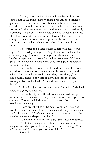The large room looked like it had seen better days. At some point in the castle's history, it had probably been officer's quarters. It had two racks of solid bunk style beds with posts extending to the ceiling with three beds in each stack. There were clothes and other items strewn on the floor and dust coated nearly everything. Of the six available beds, only one looked to be in use. The others were without bedclothes. Two tall dusty and mostly empty bookshelves stood along opposite walls, with two large scarred wooden tables each with two chairs in the middle of the room.

"There used to be three others in here with me," Roald began. "One made Journeyman, Diego he's now called, and the other two, they, uh finished their apprenticeships and, um, left. So, I've had the place all to myself for the last two weeks. It's been great." Jonny could see what Roald considered great. It certainly was not cleanliness.

Just then there was a sound behind them, and they both turned to see another boy coming in with blankets, sheets, and a pillow. "Feldor said you would be needing these things," the blond-haired, freckled boy, said as he walked into the room, working to balance his load. "Where do you want me to put them?"

Roald said, "Just set them anywhere. Jonny hasn't decided where he's going to sleep yet."

The new boy ignored Roald's remark, snorted, and gave Jonny a questioning glance. "Uh, just set them on that empty bunk over there," Jonny said, indicating the one across from the one Roald was occupying.

"That's probably best," the new boy said. "If you sleep over here there's a chance Roald's screams in the night won't wake you." He laughed. "That's why he's been in this room alone. No one else can get any sleep around him."

"You didn't need to tell him that, Larin," Roald muttered.

"Yes I did. He might have thought there was something really wrong, when you woke him up with your screaming. Now, he'll know that's just what you do most nights."

"Do not!"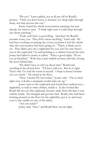"Do too," Larin replied, not at all put off by Roald's protest. "Only you don't know it, because you sleep right through them, not that anyone else can."

Jonny found the whole conversation amusing, but was already too tired to care. "I think right now I could sleep through just about anything."

"Yeah, well that's a good thing. And don't let Roald's screams worry you. They don't mean anything," Larin said. He had been working on putting the covers on Jonny's bed the whole time the conversation had been going on. "There, I think you're set. They didn't give me a nightshirt for you, but I'm sure there's one in the cupboard," he said pointing to a cabinet beyond the bed. Jonny had failed to notice it earlier. "Have a good night. I'll see you at breakfast." With that, Larin smiled at Jonny and left, closing the door behind him.

"He didn't have to tell you about that," Roald said, scowling at the closed door. "I'd have told you. But he is right. That's why I've had the room to myself. I hope it doesn't bother you too much." He stared at the floor.

"Naw, I doubt I'll even notice," Jonny said. "I'm so tired right now, I doubt a stampede would wake me up."

Jonny went to the cupboard and found there indeed was a nightshirt, as well as other clothes, inside it. It also looked like Roald did not use this cupboard, because aside from the dust it was orderly inside. He changed and got into bed. Roald, who had been hunting around on the floor for his nightshirt, put it on and went over to the candle on one of the tables.

"Are you ready?"

Jonny said, "Sure," and Roald blew out the light.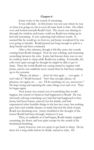### **Chapter 6**

Jonny woke to the sound of screaming.

It was still dark. At first Jonny was not sure where he was or what was going on, but it soon all came back to him. He rolled over and looked towards Roald's bed. The moon was shining in through the window and Jonny could see Roald was sitting up in bed and screaming. It was a piercing wail without words. It seemed like he would go on forever, and Jonny wondered if he was ever going to breathe. Roald paused just long enough to pull in a deep breath and then continued.

After a few minutes, though it felt like years, the sounds coming from Roald changed. Now he was sobbing, and muttering something between the sobs. Jonny had known there was no way he could go back to sleep while Roald was wailing. Eventually, the sobs were quiet enough he thought he might be able to get to sleep. Then the words Roald was saying started to register with Jonny, and he was suddenly more scared than he had been waking up to the screams.

"Please, oh please . . . don't do that again . . . not again. I can't take it," Roald moaned. "Isn't that enough, please, oh pleeasse, not again, no . . . no. I'll do anything, no, no, nooooooo." He kept crying and repeating the same things over and over. Then he began again.

Now Jonny was scared, not of something that would happen, but scared of whatever had happened to Roald. He was obviously reliving something very bad that had happened to him. Jonny had been beaten, starved, lost his family, and had experienced other horrible things in the last two years, but nothing gave him such terrible dreams or made him feel the kind of pain Roald was dreaming now. Jonny trembled at the thought of the horror Roald had been through, whatever it was.

Then, as suddenly as it had begun, Roald simply stopped screaming, lay down, and was quiet except for the sound of his rhythmical breathing.

Jonny however, was too upset to get back to sleep. He lay there for a long while before he finally started to relax. He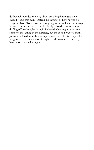deliberately avoided thinking about anything that might have caused Roald that pain. Instead, he thought of how he was no longer a slave. Tomorrow he was going to eat well and learn magic brought him some peace, and he finally relaxed. Just as he was drifting off to sleep, he thought he heard what might have been someone screaming in the distance, but the sound was too faint. Jonny wondered muzzily, as sleep claimed him, if this was just his imagination, or the wind or if maybe Roald wasn't the only boy here who screamed at night.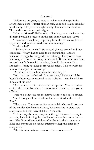#### **Chapter 7**

"Feldor, we are going to have to make some changes in the arrangements here," Master Silurian said, as he and Feldor sat in his north study. The pre-dawn light faintly illuminated the window. The candles were once again alight.

"How so, Master?" Feldor said, still writing down the items they discussed would be secured on the next supply run into Alavar.

"I want to isolate Jonny, especially from the normal routine of apprentice and journeyman demon summonings."

"Is that wise?"

"I believe it is essential." He paused, glanced around and then continued. "Jonny has no need to go through the standard initiation to magic by being a demon offering. The process is so injurious, not just to the body, but the soul. If there were any other way to identify those with the talent, I would dispense with it altogether. Jonny has already proved his talent. I do not wish for him to be warped unnecessarily."

"Won't that alienate him from the other boys?"

"Yes, that can't be helped. In some ways, I believe it will be best if he becomes accustomed to the isolation. I fear he will bear it much of his life."

"What exactly is it that makes him so special? You seemed so excited about him last night. I cannot recall when I've seen you so affected."

"Feldor, I believe he has the native talent to be a zdrell master."

"But I thought all the zdrell masters were killed in the Great War?"

"They were. There were a few wizards left who could do some of the simpler zdrell manipulations, but those true masters were always rare, and they were all killed in the war.

"It has always been my suspicion, though I know of no way to prove it, that eliminating the zdrell masters was the reason for the war. The Grimoridans withdrew after the last zdrell master was killed and they made no serious attempt to keep the lands they conquered."

"The histories make no mention of that connection."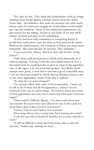"No, they do not. They claim the Grimoridans could no longer maintain their troops against constant attacks from the varied forces here. Nevertheless, they make no mention why after nearly ninety years of continuous struggle the Grimoridans would simply gave up and withdrew. None of the traditional explanations can give reason for the timing. However, the death of the last zdrell master occurred just prior to the withdrawal.

"If they had been fully committed to conquering Skryla, it would have made more sense for them to have pressed the attack. Without the zdrell masters, our continent of Skryla was much more vulnerable. But what did they do instead? They withdrew."

"I see your point, Master. But how does this involve young Jonny?"

"Only those with great power in zdrell could reportedly do it without training. If Jonny is the first new zdrell master in over a thousand years, he could become as great as some of the legendary ones in the sagas. I do not want him spoiled. Not all the zdrell masters were good. I need him to become a good, honorable man. I can not have him twisted by whole demon initiation process, just so the other apprentices' sense of fair-play is upheld."

"So what do you want changed?"

"I've already talked with some of the journeymen. I need you to talk to all of them and all the apprentices. Jonny is not be involved in any way in summonings. He is not to know the secret of how apprentices are used, nor to know any other part of demon magic."

"That could be difficult, Master. You know only those who have known the secret have been allowed to stay in the castle for more than a pair of days, for that very reason."

"I know, I know, but I believe it is essential."

"How long will we have to keep him from learning the truth?"

"I am not sure, but it should be months, if not years, until he is ready."

"It will be difficult to keep him from being able to hear the screams," Feldor said, shaking his head.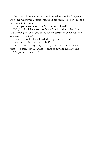"Yes, we will have to make certain the doors to the dungeons are closed whenever a summoning is in progress. The boys are too careless with that as it is."

"Have you spoken to Jonny's roommate, Roald?"

"No, but I will have you do that at lunch. I doubt Roald has said anything to Jonny yet. He is too embarrassed by his reaction to his own initiation."

"Indeed. I will talk to Roald, the apprentices, and the journeymen. Is there anything else?"

"No. I need to begin my morning exercises. Once I have completed them, get Eleander to bring Jonny and Roald to me."

"As you wish, Master."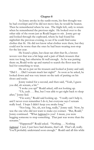#### **Chapter 8**

As Jonny awoke in the sunlit room, his first thought was he had overslept and if he did not move fast, he would be beaten. Then he remembered where he was. The fright left, only to return when he remembered the previous night. He looked over to the other side of the room just as Roald began to stir. Jonny got up and looked through the cupboard, where he had found his nightshirt the previous evening, to see if he could find some clothes that fit. He did not know what clothes were there, but they could not be worse than the ones he had been wearing non-stop for the last year.

He found a plain, but clean tan shirt that fit, a brown woven vest that was a bit large and a pair of black trousers that were too long, but otherwise fit well enough. As he was putting them on, Roald woke up and started to search the floor near his bed for something to wear.

He sat to put on his trousers and looked at Jonny and said, "Did I . . . Did I scream much last night?" As soon as he asked, he looked down and was very intent on the task of putting on his shoes and socks.

Jonny waited for a second, and then said, "Yeah, I guess you did, uh scream, a bit."

"I woke you up?" Roald asked, still not looking up.

"Uh, yeah . . . But, but I was able to get right back to sleep after," Jonny lied.

"I'm sorry," Roald said looking up. "I really can't help it, and I never even remember I do it, but everyone says I scream really loud. I hope I didn't keep you awake long."

"Not long. No, uh, not long, really," Jonny said. Now, he was the one who did not want to make eye contact. "But, Roald," Jonny continued. "What *happened* to you? I mean, you were begging someone to stop something. That part was worse than the screams."

"Happened?" Roald asked. "Nothing . . . Nothing *happened*. I just, I just have bad dreams, that's all. That's all, really. You'll probably understand soon enough." Roald said all this while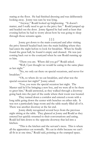staring at the floor. He had finished dressing and was deliberately looking away. Jonny was sure he was lying.

"Anyway," Roald looked up brightening. "It doesn't matter, and I really need to get to the privy fast." Roald jumped up and headed out the door. Jonny figured he had until at least that evening before he had to worry about how he was going to sleep through those screams again.

#### § § §

Jonny got down to the main courtyard and after visiting the privy himself headed back into the main building where they had eaten the night before to look for breakfast. When he finally found the great hall, he found it empty and cleaned. He was just coming back out to the courtyard when he saw Roald running up to him.

"There you are. Where did you go?" Roald asked.

"Well, I just thought we would be eating in the same place as last night."

"No, we only eat there on special occasions, and never for breakfast."

"Oh, so where do we eat breakfast, and what was the special occasion last night?" Jonny asked.

"You, you were the special occasion last night. The Master said he'd be bringing a new boy, and we were all to be there to greet him," Roald answered, as they walked through a doorway going back into the part of the castle where their room was located.

They turned down a corridor and entered a room with a long table going down the center with benches on either side. It was not a particularly large room and the table nearly filled all of it. There was another doorway at the far end.

Jonny dimly recognized several boys from the previous night sitting at the table. They glanced at Jonny and Roald as they entered but quickly returned to their conversations and eating. Roald led him down to the opposite doorway that led into a kitchen.

"This is the kitchen and the servant's mess. This is where all the apprentices eat normally. We eat in shifts because we can't all fit in at one time," Roald said, pointing at the cramped space.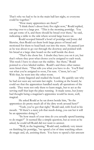That's why we had to be in the main hall last night, so everyone could be together."

"How many apprentices are there?"

"I think there's about forty five right now," Roald replied, moving over to a large pot. "This is the morning porridge. You can get some of it, and there should be bread over there," he said, indicating a table to the side where several large loaves sat.

Roald scooped himself a bowl of porridge and Jonny did likewise, then Roald cut them both large pieces of bread and motioned for them to head back out into the mess. He paused just as he was about to go out through the doorway and pointed with his bread at a large slate board on the wall beside the door.

"That's the chore list. I doubt they have you on it yet, but that's where they post what chores you're assigned to each week. This week I have to clean out the stables. See there," Roald pointed to a box labeled stables. Roald's and three other names were listed there. "That tells you what you have to do. You'll find out what you're assigned to soon, I'm sure. C'mon, let's eat." With that, he went into the other room.

Jonny lingered and studied the board. He quickly saw why he had not seen any servants last night. Looking at the board, he could see that the apprentices handled nearly all operations of the castle. They were not only there to learn magic, but to act as the serving staff that kept the place running. It made sense, but Jonny had thought being a magician's apprentice would be more, well, magical.

He asked Roald as he sat down beside him, "So the apprentices do pretty much all of the dirty work around here?"

"Yeah, you've got that right," Roald said, with food in his mouth. "If there's a nasty job that needs doing, you can bet it will be an apprentice doing it."

"So how much of your time do you actually spend learning to do magic?" It seemed like a simple question, but as soon as he asked, he could tell Roald did not want to answer.

"Well, in the beginning," Roald said, suddenly very intent on finishing his porridge, "we spend a lot of time watching others do magic and, uh, assisting them. You have to spend a fair amount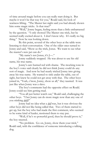of time around magic before you can really start doing it. But maybe it won't be that way for you," Roald said, his look of wariness lifting. "The Master last night said you had already shown him some magic tricks. Is that true?"

"Well," Jonny began, feeling more than a little embarrassed by the question. "I only showed The Master one trick, but he seemed really excited about it. I don't know why. It's really no big thing." Now he was looking down.

By this point, several of the other boys at the table were listening to their conversation. One of the older ones turned to Jonny and said, "Show us the trick, Jonus. We want to see what the master's new pet can do."

"My name's not Jonus, it's J—."

Jonny suddenly stopped. He was about to use his old name, his true name.

Jonny's ears burned red with shame. The mocking tone in the boy's voice said clearly he did not think Jonny could do any sort of magic. And now he had nearly tricked Jonny into giving away his true name. He wanted to sink under the table, out of sight, but knew he could not get away with that. The other boys joined in, "Yeah, c'mon, Jonny, show us all," they taunted. It was just like when Jonny was a slave.

The boy's comments had the opposite effect on Roald. Jonny could see him getting mad.

"You all just better watch out," Roald said, challenging the other boys. "I bet Jonny can do more magic now than any one of you stinking *dulls*!"

Jonny had no idea what a *dull* was, but it was obvious the other boys did not like being called that. Two of them started to get up, but the boy who had made the first comment, who seemed to be some kind of leader, motioned them to stay put.

"Well, if he's so powerful good, then he should prove it," the boy sneered.

"No problem. Go on, Jonny, show them your trick," Roald said, with the confidence of someone introducing a talking dog.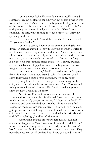Jonny did not feel half as confident in himself as Roald seemed to be, but he figured the only way out of this situation was to show his trick. "It's not much," he began, as he dug his coin out of the pocket in his new trousers. "I just take a coin like this," he said, placing the coin on its edge on the table. "Then I set is spinning," he said, while flicking the edge of it to start it rapidly spinning on the table.

"That's your trick?" asked the boy who had started it all. "Anyone can do that."

Jonny was staring intently at the coin, not letting it slow down. In fact, he wanted to show the boy up so much he tried to see if he could make it spin faster, and it did. After a few seconds, all the boys were staring intently at the coin as they could see it was not slowing down as they had expected it to. Instead, defying logic, the coin was spinning faster and faster. It slowly traveled across the table and stopped in front of the boy whose jaw was hanging open in amazement where it continued to spin.

"Anyone can do that," Roald mocked, sarcasm dripping from his words, "Can't they, Frank? Why, I'm sure you could show Jonny here a thing or two about how it's done, right?"

Jonny heard his cue and stopped concentrating on the coin, which immediately began to slow down. "Sure," Jonny said, trying to make it sound sincere. "Uh, Frank, could you please show me how I could do it better?"

Now it was Frank's turn to have his ears burn. He stammered for a moment then finally said, "You both just better watch out, especially you, screamer boy." He glared at Roald. "I know you and where to find you. Maybe I'll see if I can't find a reason for you to scream some more." He turned from them and got up, ears and face still bright red and headed for the door, as the coin rattled to a stop on the table. He nodded at his friends and said, "C'mon, let's go," and he left the room.

After Frank and the other boys left, Roald could not contain his happiness. "Well, you sure showed them, didn't you," he said, pounding Jonny on the back. "Did you see their faces? You'd have thought they saw a demon coming to eat them. They never believed you could do that, but I knew you could. I knew."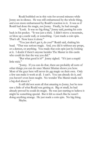Roald bubbled on in this vein for several minutes while Jonny ate in silence. He was still embarrassed by the whole thing, and even more embarrassed by Roald's reaction to it. It was as if Roald had done the magic, not Jonny. Finally, he had enough.

"Look. It was no big thing," Jonny said, putting his coin back in his pocket. "It was just a trick. I didn't move a mountain, or blow up a castle wall, or something. I just made a coin spin. That's all. Now leave it alone."

"You just don't get it, do you?" Roald said, shaking his head. "That was serious magic. And, you did it without any props, or a demon, or anything. You made that coin spin just by looking at it. I doubt if there's anyone besides The Master in this castle who could do that the way you did."

"But what good is it?" Jonny sighed. "It's just a stupid little trick."

"Jonny. If you can do that, there are probably all sorts of other things you can do once Master Silurian shows you how. Most of the guys here will never do *any* magic on their own. Only a few can make it work at all. I can't. You can already do it, and you haven't even been taught. No wonder The Master made such a big deal about it."

It still did not seem all that amazing to Jonny, but he now saw a little of what Roald was getting at. Big or small, he had already proved he could do magic. He was just starting to believe it might be something special. But it felt so much like he wasn't doing anything strange. He just made a coin spin. No big thing. Maybe.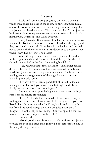#### **Chapter 9**

Roald and Jonny were just getting up to leave when a young man poked his head in the room. Jonny recognized him as one of the journeymen from the dinner the previous evening. He saw Jonny and Roald and said, "There you are. The Master just got back from his morning exercises and wants to see you both in his north study. Hurry up, and I'll go with you."

Jonny looked at Roald to see if he had any idea why he was being called back to The Master so soon. Roald just shrugged, and they both quickly put their dishes back in the kitchen and hurried out to walk with the journeyman, Eleander, over to the same study where Jonny had first met The Master.

When they got there, the door was open and Eleander walked right in and called, "Master, I found them, right where I should have looked in the first place, eating breakfast."

"Yes, yes, well that's fine, Eleander," The Master replied distractedly from his desk where there were several more books piled than Jonny had seen the previous evening. The Master was reading from a passage in one of the large dusty volumes and looked up towards Jonny.

"My boy, I have spent a good deal of time thinking and reading about that trick you showed me last night, and I believe I finally understand just what was going on."

Jonny was once again feeling embarrassed over the large fuss from his simple bit of magic.

"Jonny," The Master continued. "I need you to do your trick again for me while Eleander and I observe you, and you too, Roald. I am fairly certain what I will see, but I need to have this confirmed. It could change the way I do quite a number of things." He looked at Jonny, smiling, "Can you spin the coin and have it stay in a certain place on the table?"

Jonny nodded.

"Good, good, then please do it." He motioned for Jonny to place the coin on a large table Jonny did not remember being in the study the night before.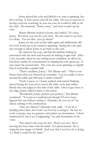Jonny placed the coin and flicked it to start it spinning, but hit it wrong. It shot across and off the table. He was so nervous at having everyone watching, he was not sure he would be able to do the trick. He muttered, "Sorry, sorry," and went to pick up the coin.

Master Silurian looked at Jonny and smiled, "It's okay, Jonny. We know you can do your trick. We just want to see how it is done. You are fine. Just go ahead."

Jonny set the coin on the table again and deliberately did not look at anyone as he started it spinning. Seeing the coin spin was enough to allow Jonny to go back to the task.

He stared at the coin, and felt the familiar feeling he associated with the trick and focused on making it spin well. After a few seconds, when he was feeling more confident, he did as he had done earlier; he concentrated on making the coin speed up. It was easier the second time. The coin was soon spinning so rapidly that it looked like a golden ball.

"That's excellent, Jonny," The Master said. "That's even better than what you showed me yesterday. Can you make it move around the table and still keep it under control?"

"Yeah, I guess so," Jonny replied, and started thinking about having the coin move across the table, as he had earlier. Slowly the coin edged to the side of the table. Once it got close to the edge, Jonny willed it back to the center.

"Wonderful, Jonny, perfect, just perfect," The Master exclaimed. "It is just as I understood, though I'd never have figured this out without seeing it. Eleander, do you see it?" he asked, turning to the journeyman.

"Alas, no, Master," Eleander said, sadly. "I see he is bending force lines, but I can't see how he is doing it. He has no tools or props, uses no gestures, and makes no incantation. I don't understand it, but I see it happening," he said, frustration in his voice.

"His mind is the tool, my boy. Don't you see? He is moving the force lines with his mind. It is phenomenal. He is using the lost magic of Zdrell. And now that I see how he is doing it, I think I could do the same."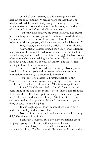Jonny had been listening to this exchange while still keeping the coin spinning. When he heard the last thing The Master had said, he momentarily stopped focusing on the coin and it flew across the room and bounced on the floor, rebounding off of books and chairs before it finally came to rest.

"You really didn't believe me when I said you had taught me something new, did you, Jonny?" The Master asked, chuckling. "Yes, it is true. Even one as old as I, still feel like I have so much to learn. And you, yes you, will be my teacher, as I will be yours."

"But, Master, it is only a coin, a trick . . ." Jonny pleaded.

"Only a trick?" Master Silurian snorted. "Jonny, Eleander here is one of the more talented journeymen I've had in the last several years, and he could not duplicate your *trick*. He has enough talent to see what you are doing, but he has no idea how he would go about doing it himself, do you, Eleander?" The Master said, turning to look at the journeyman.

Eleander bowed his head and said softly, "No, my master. I could not do this myself and can see no value in creating an incantation or invoking a demon to do it for me."

"You see?" The Master said turning back to Jonny. "Eleander is a competent wizard, nearly ready to become a master, and he can't do what you already can. This is most significant."

"Roald," The Master called to Jonny's friend who had been sitting at the side of the room. "Fetch Jonny's coin from the floor over there. It is time I put my enlarged understanding to a test." He turned and winked at Jonny. "We'll see if the old man can do as well as his apprentice. Maybe I can even teach you a thing or two," he said laughing.

He was laughing, but Jonny sensed there was an edge under the joviality, and it worried him.

"Now set it up on the table and get it spinning like Jonny did," The Master said to Roald.

"I can start it, Master, but I don't know anything about keeping it going," Roald said, with a quaver in his voice.

"That's all I ask, boy. I should be the one to keep it spinning this time," The Master said. He paused as Roald set the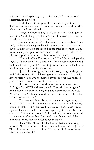coin up. "Start it spinning, boy. Spin it fast," The Master said, excitement in his voice.

Roald flicked the edge of the coin and it spun true. Suddenly without warning, the coin slued sideways and shot off the table as if it had been kicked.

"Arrgh, I almost had it," said The Master, with disgust in his voice. "Well, I suppose it wasn't a bad first try." He grunted. "Roald, set it up and let's try it again."

Jonny was awe struck. Here was the greatest wizard in the land, and he was having trouble with Jonny's trick. Not only that, but he did not get it on the second or the third tries either. On the fourth attempt, it spun for a moment and then fell. Finally, on the fifth attempt the coin spun in place for over a minute.

"There, I believe I've got it now," The Master said, panting slightly. "Yes, I think I have this now. Let me rest a moment and we'll see if I can repeat it." He got up from his chair, walked to the window, and stared out for a moment.

"Jonny, I foresee great things for you, and great danger as well," The Master said, still looking out the window. "Yes, I will have to train you as I've not trained anyone in over one hundred years. There is no time to waste, none at all."

He turned from the window and sat in his chair again. "All right, Roald," The Master sighed. "Let's do it once again." Roald started the coin spinning and The Master closed his eyes. "Yes," he said. "I should have thought of this earlier." He smiled. "Yes, I do have it now."

The coin, which had been spinning, now began to speed up. It initially stayed in the same spot then slowly started moving around the table. First, it moved in a circle. Then it described a square. Then it started to move in a figure eight. Master Silurian chuckled. "Watch this, boys." As he said this, the coin continued spinning as it left the table. It moved slowly higher and higher until it was more than four feet above the table.

"Hah," The Master chuckled, now obviously enjoying himself. "I told you I could show you a trick or two there, Jonny." The coin now moved in the air until it stopped in front of Jonny. "Hold out your hand."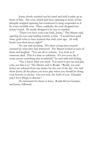Jonny slowly reached out his hand and held it palm up in front of him. The coin, which had been spinning in front of him abruptly stopped spinning but continued to hang suspended as if by some invisible wire. Then, suddenly, the coin dropped into Jonny's hand. He nearly dropped it he was so startled.

"There you have your coin back, Jonny," The Master said, opening his eyes and smiling warmly at him. "I would have paid many gold coins to have learned that trick years ago. Ah well, better now than never, right?"

No one said anything. The three young men seemed stunned by what they had witnessed. The Master looked at each of them and laughed. "You are all so solemn. You look as if someone died. This is a time to celebrate. It's not every day I come across something this wonderful," he said with real feeling.

"No, I know what you need. You need to get out and play a bit, yes that is it," The Master said to Roald. "Roald, you and Jonny are released from any duties for the rest of the day. Go and show Jonny all the places you boys play when you should be doing your lessons or chores. Get out now, the both of you. Eleander and I have things to discuss."

He motioned for them to leave. Roald did not hesitate, and Jonny followed.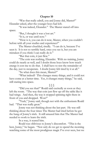#### **Chapter 10**

"Was that really zdrell, you and Jonny did, Master?" Eleander asked, after the younger boys had left.

"It was indeed, Eleander." The Master stared off into space.

"But, I thought it was a lost art."

"It is, or was until now."

"How is it, you can do it now, Master, when you couldn't before with all your studies and experience?"

The Master chuckled, tiredly. "I can do it, because I've seen it. It is not so terribly hard, once you see it, but you are mistaken if you think I can really do it."

"But that coin, it just flew."

"The coin was nothing, Eleander. With no training, Jonny could do nearly as well, and I doubt those boys know how much energy it cost me to do that. I shall have to rest the remainder of the day, just to recuperate. I doubt Jonny felt tired by it at all."

"So what does this mean, Master?"

"What indeed? This changes many things, and it could not have come at a better time. Yes, it changes many things," he said, still staring into space.

§ § § "Did you see that?" Roald said excitedly as soon as they left the room. "The way that coin just flew up off the table like it had wings. And then, the way it stopped spinning right there in front of you and dropped. Wow!"

"Yeah," Jonny said, though not with the enthusiasm Roald had. "That was really great."

Jonny was not thinking about the last part. He was still thinking about the four times The Master had tried before he got the hang of Jonny's trick. It still amazed him that The Master had needed to work to learn the trick.

In a way, it scared him.

Roald was oblivious to Jonny's discomfort. "This is the best, Jonny," he began. "Not only do we get to spend the morning watching some of the most prodigious magic I've ever seen, but we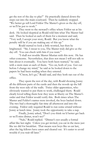get the rest of the day to play!" He practically danced down the steps out into the main courtyard. Then he suddenly stopped. "We better go tell Lord Feldor The Master's given us the day off, or we'll be put to work."

They went to the steward's office where Feldor sat at his desk. He looked skeptical as Roald told him what The Master had said. Then he looked at each of them for a moment and said, "Very well, I accept your story, Roald. But you know what the penalty will be if you are making any of this up."

Roald started to look a little worried, but then he brightened. "Sir, I swear to you, The Master truly did give us the day off. You can check with him if you want."

"I shall not trouble Master Silurian with this now. He has other concerns. Nevertheless, that does not mean I will not talk to him about it eventually. You have both been warned," he said, with a stern stare at each of them. "Go on, both of you. Get out before I change my mind," he said as he looked down to the papers he had been reading when they entered.

"C'mon, let's go," Roald said, and they both ran out of the office.

They spent the rest of the day, with Roald showing Jonny all the different parts of the castle and then the woods up the hill from the west side of the walls. Twice older apprentices, who obviously wanted to put them to work, challenged them. Roald clearly loved telling them how they were at liberty on The Master's order and that Feldor would verify this. Both times when The Master and Feldor's names were invoked, the boys backed down. The two had a thoroughly fun time all afternoon and into the evening. Feldor only required Roald to run some errand without Jonny at lunch time. Jonny took the opportunity to take a nap.

Finally, Jonny asked, "Don't you think we'd better get back or we'll miss dinner, won't we?"

"Nah," Roald replied. "Dinner's not usually a formal affair like last night. Unless you get invited, you eat in the mess just like we did for breakfast. That means scut boys like us eat last, after the big fellows have eaten and cleared out. It's easier to avoid trouble if you wait till later."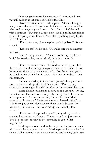"Do you get into trouble very often?" Jonny asked. He was still curious about some of Roald's dark hints.

"Not very often now," Roald replied. "When I first got here, I swear that was all I got into. I didn't have anyone to tell me what to do or anything and it was . . . bad, for a while," he said with a shudder. "But that's all past now. And I'll make sure things go well for you, Jonny. Friends?" he asked, grabbing Jonny lightly by the forearm.

"Friends forever," Jonny replied, grabbing Roald's forearm as well.

"Let's go eat," Roald said. "I'll make sure no one messes with you."

"Sure," Jonny laughed. "You can do the fighting for us both," he joked as they walked slowly back into the castle.

§ § §

Dinner was uneventful. The food was mostly gone, but there were more than enough scraps for them to eat their fill. For Jonny, even these scraps were wonderful. For the last two years, he could not recall two days in a row when he went to bed with a full stomach.

As they headed up to their room, Jonny's thoughts turned again to trying to sleep with Roald's screams. "Do you, um, scream, ah, every night, Roald?" he asked as they entered the room.

Roald did not look happy to have to talk about it. "Really, I don't know. I know I wake everybody else up, but I almost never wake up myself. As a matter of fact, it's usually when I don't scream that I wake up." He turned away and looked at the floor. "On the nights when I don't scream that's usually because I'm having nightmares, and they wake me up, but I usually don't scream."

"Roald, what happened to you?" Jonny asked, unable to contain the question any longer. "I mean, you don't just scream. You beg for someone not to do something to you. What happened?"

Roald spun around and looked at Jonny for just a moment with hate in his eyes, then the look faded, replaced by some kind of shame. When he spoke, Jonny could tell he was holding back tears,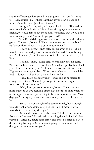and the effort made him sound mad at Jonny. "I—don't—want to—talk about it! I, . . . there's nothing anyone can do about it now. It's in the past. Just leave it alone."

"Alright," Jonny said, holding up his hands. "If you don't want to talk about it, that's Okay. I just thought, since we were friends, we could talk about those kinds of things. But if you don't want to, okay. I didn't mean to get you mad."

Now Roald did begin to cry, not loud, just little shuddering gasps. "I'm sorry, Jonny. I didn't mean to get mad at you, but I can't even think about it. It just hurts too much."

"That's all right," Jonny said, unsure what to do. "If I'd have known it would get to you so much, I wouldn't have brought it up." He sighed, "But if you ever do feel like talking about it, I'll listen."

"Thanks, Jonny," Roald said, now mostly over his tears. "You're the best friend I've ever had. Someday, I probably will tell you. Some other time, yeah." He started throwing off his clothes. "I guess we better get to bed. Who knows what tomorrow will be like? I doubt it will be half as much fun as today."

"Yeah, that's probably true," Jonny said as he started to change his clothes. "I sure hope we get to see more magic tomorrow. That was great."

"Well, don't get your hopes up, Jonny. Today we saw more magic than I've seen in a single day except for once when one of the apprentices was performing to become a journeyman. Most days you're lucky if you see any magic at all," he said as he got into bed.

"Huh. I never thought of it before exactly, but I thought wizards went around doing magic all the time. I mean, they're wizards, that's what they do, right?"

"Maybe the master wizards do stuff all the time, but not from what I've seen," Roald said scrunching down in his bed. He yawned. "After all, magic takes effort and there's a price to pay to do anything by magic. So you're not going to run around just doing it for no reason, are you?"